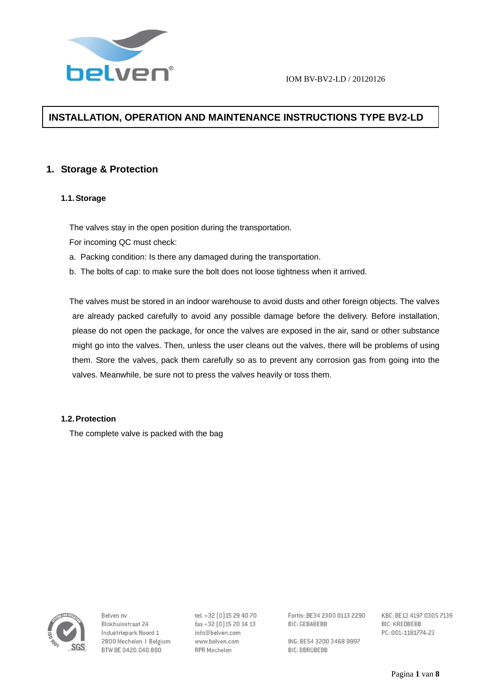

# **INSTALLATION, OPERATION AND MAINTENANCE INSTRUCTIONS TYPE BV2-LD**

# **1. Storage & Protection**

# **1.1. Storage**

The valves stay in the open position during the transportation.

For incoming QC must check:

- a. Packing condition: Is there any damaged during the transportation.
- b. The bolts of cap: to make sure the bolt does not loose tightness when it arrived.

The valves must be stored in an indoor warehouse to avoid dusts and other foreign objects. The valves are already packed carefully to avoid any possible damage before the delivery. Before installation, please do not open the package, for once the valves are exposed in the air, sand or other substance might go into the valves. Then, unless the user cleans out the valves, there will be problems of using them. Store the valves, pack them carefully so as to prevent any corrosion gas from going into the valves. Meanwhile, be sure not to press the valves heavily or toss them.

# **1.2. Protection**

The complete valve is packed with the bag



Relven ny Blokhuisstraat 24 Industriepark Noord 1 2800 Mechelen | Belgium BTW BE 0420.040.880

tel. +32 [0] 15 29 40 70 fax+32 [0] 15 20 14 13 info@belven.com www.belven.com **RPR Mechelen** 

Fortis: BE34 2300 0113 2290 **BIC: GEBABEBB** 

ING: BE54 3200 3468 9997 **BIC: BBRUBEBB**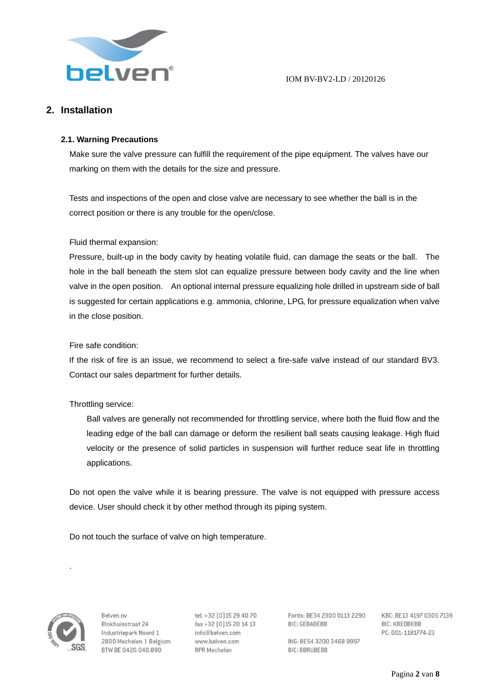

# **2. Installation**

# **2.1. Warning Precautions**

Make sure the valve pressure can fulfill the requirement of the pipe equipment. The valves have our marking on them with the details for the size and pressure.

Tests and inspections of the open and close valve are necessary to see whether the ball is in the correct position or there is any trouble for the open/close.

# Fluid thermal expansion:

Pressure, built-up in the body cavity by heating volatile fluid, can damage the seats or the ball. The hole in the ball beneath the stem slot can equalize pressure between body cavity and the line when valve in the open position. An optional internal pressure equalizing hole drilled in upstream side of ball is suggested for certain applications e.g. ammonia, chlorine, LPG, for pressure equalization when valve in the close position.

# Fire safe condition:

If the risk of fire is an issue, we recommend to select a fire-safe valve instead of our standard BV3. Contact our sales department for further details.

# Throttling service:

Ball valves are generally not recommended for throttling service, where both the fluid flow and the leading edge of the ball can damage or deform the resilient ball seats causing leakage. High fluid velocity or the presence of solid particles in suspension will further reduce seat life in throttling applications.

Do not open the valve while it is bearing pressure. The valve is not equipped with pressure access device. User should check it by other method through its piping system.

Do not touch the surface of valve on high temperature.



.

Relven ny Blokhuisstraat 24 Industriepark Noord 1 2800 Mechelen | Belgium BTW BE 0420.040.880

tel. +32 [0] 15 29 40 70 fax+32 [0] 15 20 14 13 info@belven.com www.belven.com **RPR Mechelen** 

Fortis: BE34 2300 0113 2290 **BIC: GEBABEBB** 

ING: BE54 3200 3468 9997 **BIC: BBRUBEBB**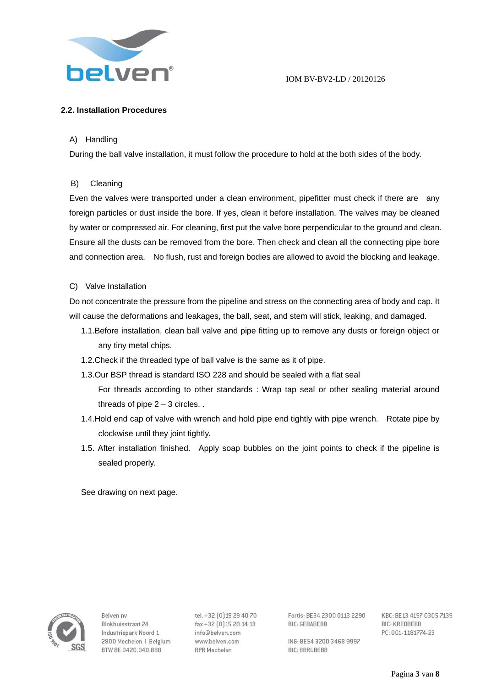

# **2.2. Installation Procedures**

### A) Handling

During the ball valve installation, it must follow the procedure to hold at the both sides of the body.

#### B) Cleaning

Even the valves were transported under a clean environment, pipefitter must check if there are any foreign particles or dust inside the bore. If yes, clean it before installation. The valves may be cleaned by water or compressed air. For cleaning, first put the valve bore perpendicular to the ground and clean. Ensure all the dusts can be removed from the bore. Then check and clean all the connecting pipe bore and connection area. No flush, rust and foreign bodies are allowed to avoid the blocking and leakage.

#### C) Valve Installation

Do not concentrate the pressure from the pipeline and stress on the connecting area of body and cap. It will cause the deformations and leakages, the ball, seat, and stem will stick, leaking, and damaged.

- 1.1.Before installation, clean ball valve and pipe fitting up to remove any dusts or foreign object or any tiny metal chips.
- 1.2.Check if the threaded type of ball valve is the same as it of pipe.
- 1.3.Our BSP thread is standard ISO 228 and should be sealed with a flat seal
	- For threads according to other standards : Wrap tap seal or other sealing material around threads of pipe  $2 - 3$  circles...
- 1.4.Hold end cap of valve with wrench and hold pipe end tightly with pipe wrench. Rotate pipe by clockwise until they joint tightly.
- 1.5. After installation finished. Apply soap bubbles on the joint points to check if the pipeline is sealed properly.

See drawing on next page.



Relven ny Blokhuisstraat 24 Industriepark Noord 1 2800 Mechelen | Belgium BTW BE 0420.040.880

tel. +32 [0] 15 29 40 70 fax+32 [0] 15 20 14 13 info@belven.com www.belven.com **RPR Mechelen** 

Fortis: BE34 2300 0113 2290 **RIC-GERARERR** 

ING: BE54 3200 3468 9997 **BIC: BBRUBEBB**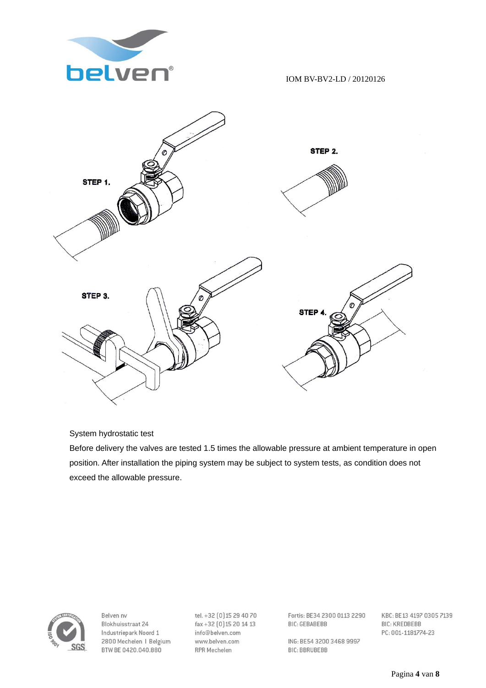



# System hydrostatic test

Before delivery the valves are tested 1.5 times the allowable pressure at ambient temperature in open position. After installation the piping system may be subject to system tests, as condition does not exceed the allowable pressure.



Belven nv Blokhuisstraat 24 Industriepark Noord 1 2800 Mechelen | Belgium BTW BE 0420.040.880

tel. +32 [0] 15 29 40 70 fax+32 [0] 15 20 14 13 info@belven.com www.belven.com **RPR Mechelen** 

Fortis: BE34 2300 0113 2290 **BIC: GEBABEBB** 

ING: BE54 3200 3468 9997 **BIC: BBRUBEBB**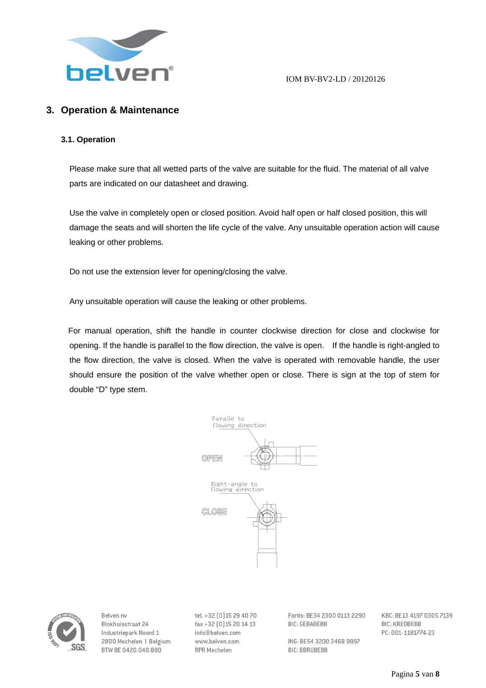

# **3. Operation & Maintenance**

#### **3.1. Operation**

Please make sure that all wetted parts of the valve are suitable for the fluid. The material of all valve parts are indicated on our datasheet and drawing.

Use the valve in completely open or closed position. Avoid half open or half closed position, this will damage the seats and will shorten the life cycle of the valve. Any unsuitable operation action will cause leaking or other problems.

Do not use the extension lever for opening/closing the valve.

Any unsuitable operation will cause the leaking or other problems.

For manual operation, shift the handle in counter clockwise direction for close and clockwise for opening. If the handle is parallel to the flow direction, the valve is open. If the handle is right-angled to the flow direction, the valve is closed. When the valve is operated with removable handle, the user should ensure the position of the valve whether open or close. There is sign at the top of stem for double "D" type stem.





Relven ny Blokhuisstraat 24 Industriepark Noord 1 2800 Mechelen | Belgium BTW BE 0420.040.880

tel. +32 [0] 15 29 40 70 fax+32 [0] 15 20 14 13 info@belven.com www.belven.com **RPR Mechelen** 

Fortis: BE34 2300 0113 2290 **BIC: GEBABEBB** 

ING: BE54 3200 3468 9997 **BIC: BBRUBEBB**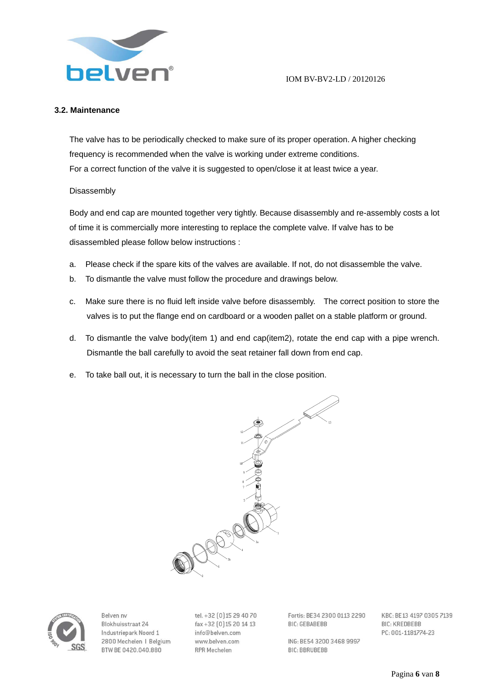

### **3.2. Maintenance**

The valve has to be periodically checked to make sure of its proper operation. A higher checking frequency is recommended when the valve is working under extreme conditions. For a correct function of the valve it is suggested to open/close it at least twice a year.

#### Disassembly

Body and end cap are mounted together very tightly. Because disassembly and re-assembly costs a lot of time it is commercially more interesting to replace the complete valve. If valve has to be disassembled please follow below instructions :

- a. Please check if the spare kits of the valves are available. If not, do not disassemble the valve.
- b. To dismantle the valve must follow the procedure and drawings below.
- c. Make sure there is no fluid left inside valve before disassembly. The correct position to store the valves is to put the flange end on cardboard or a wooden pallet on a stable platform or ground.
- d. To dismantle the valve body(item 1) and end cap(item2), rotate the end cap with a pipe wrench. Dismantle the ball carefully to avoid the seat retainer fall down from end cap.
- e. To take ball out, it is necessary to turn the ball in the close position.





Relven ny Blokhuisstraat 24 Industriepark Noord 1 2800 Mechelen | Belgium BTW BE 0420.040.880

tel. +32 [0] 15 29 40 70 fax+32 [0] 15 20 14 13 info@belven.com www.belven.com **RPR Mechelen** 

Fortis: BE34 2300 0113 2290 **BIC: GEBABEBB** 

ING: BE54 3200 3468 9997 **BIC: BBRUBEBB**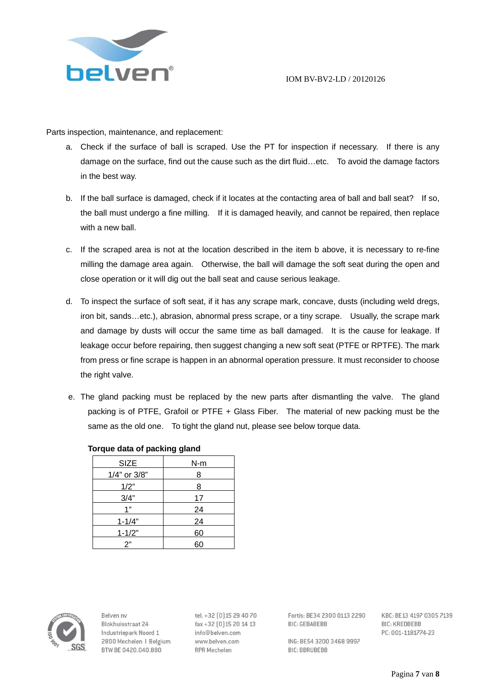

Parts inspection, maintenance, and replacement:

- a. Check if the surface of ball is scraped. Use the PT for inspection if necessary. If there is any damage on the surface, find out the cause such as the dirt fluid…etc. To avoid the damage factors in the best way.
- b. If the ball surface is damaged, check if it locates at the contacting area of ball and ball seat? If so, the ball must undergo a fine milling. If it is damaged heavily, and cannot be repaired, then replace with a new ball.
- c. If the scraped area is not at the location described in the item b above, it is necessary to re-fine milling the damage area again. Otherwise, the ball will damage the soft seat during the open and close operation or it will dig out the ball seat and cause serious leakage.
- d. To inspect the surface of soft seat, if it has any scrape mark, concave, dusts (including weld dregs, iron bit, sands…etc.), abrasion, abnormal press scrape, or a tiny scrape. Usually, the scrape mark and damage by dusts will occur the same time as ball damaged. It is the cause for leakage. If leakage occur before repairing, then suggest changing a new soft seat (PTFE or RPTFE). The mark from press or fine scrape is happen in an abnormal operation pressure. It must reconsider to choose the right valve.
- e. The gland packing must be replaced by the new parts after dismantling the valve. The gland packing is of PTFE, Grafoil or PTFE + Glass Fiber. The material of new packing must be the same as the old one. To tight the gland nut, please see below torque data.

| <b>SIZE</b>  | $N-m$ |
|--------------|-------|
| 1/4" or 3/8" | 8     |
| 1/2"         | 8     |
| 3/4"         | 17    |
| 1"           | 24    |
| $1 - 1/4"$   | 24    |
| $1 - 1/2"$   | 60    |
| 2"           | 60    |

#### **Torque data of packing gland**



Relven ny Blokhuisstraat 24 Industriepark Noord 1 2800 Mechelen | Belgium BTW BE 0420.040.880

tel. +32 [0] 15 29 40 70 fax+32 [0] 15 20 14 13 info@belven.com www.belven.com **RPR Mechelen** 

Fortis: BE34 2300 0113 2290 **BIC: GEBABEBB** 

ING: BE54 3200 3468 9997 **BIC: BBRUBEBB**